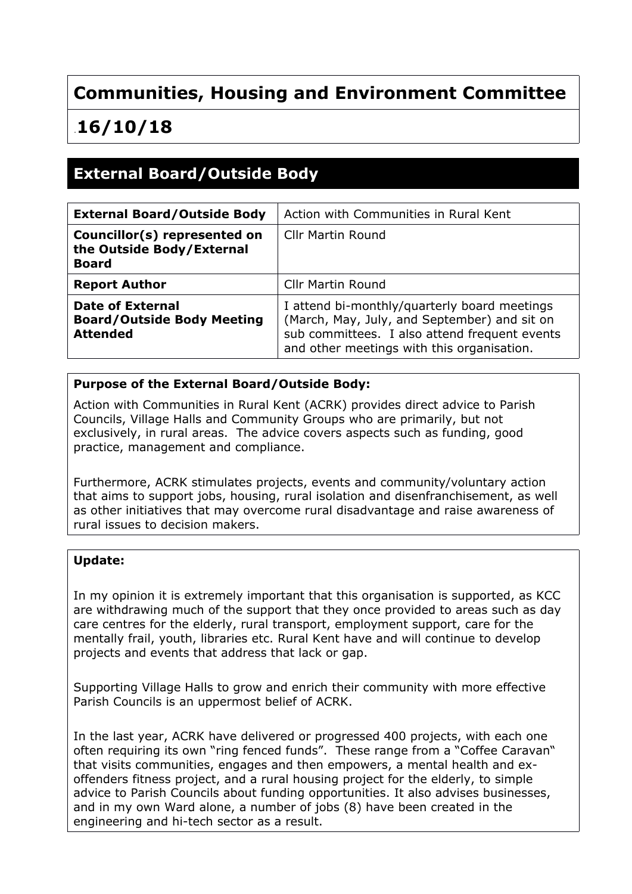# **Communities, Housing and Environment Committee**

# .**16/10/18**

### **External Board/Outside Body**

| <b>External Board/Outside Body</b>                                              | Action with Communities in Rural Kent                                                                                                                                                       |
|---------------------------------------------------------------------------------|---------------------------------------------------------------------------------------------------------------------------------------------------------------------------------------------|
| Councillor(s) represented on<br>the Outside Body/External<br><b>Board</b>       | Cllr Martin Round                                                                                                                                                                           |
| <b>Report Author</b>                                                            | <b>Cllr Martin Round</b>                                                                                                                                                                    |
| <b>Date of External</b><br><b>Board/Outside Body Meeting</b><br><b>Attended</b> | I attend bi-monthly/quarterly board meetings<br>(March, May, July, and September) and sit on<br>sub committees. I also attend frequent events<br>and other meetings with this organisation. |

### **Purpose of the External Board/Outside Body:**

Action with Communities in Rural Kent (ACRK) provides direct advice to Parish Councils, Village Halls and Community Groups who are primarily, but not exclusively, in rural areas. The advice covers aspects such as funding, good practice, management and compliance.

Furthermore, ACRK stimulates projects, events and community/voluntary action that aims to support jobs, housing, rural isolation and disenfranchisement, as well as other initiatives that may overcome rural disadvantage and raise awareness of rural issues to decision makers.

#### **Update:**

In my opinion it is extremely important that this organisation is supported, as KCC are withdrawing much of the support that they once provided to areas such as day care centres for the elderly, rural transport, employment support, care for the mentally frail, youth, libraries etc. Rural Kent have and will continue to develop projects and events that address that lack or gap.

Supporting Village Halls to grow and enrich their community with more effective Parish Councils is an uppermost belief of ACRK.

In the last year, ACRK have delivered or progressed 400 projects, with each one often requiring its own "ring fenced funds". These range from a "Coffee Caravan" that visits communities, engages and then empowers, a mental health and exoffenders fitness project, and a rural housing project for the elderly, to simple advice to Parish Councils about funding opportunities. It also advises businesses, and in my own Ward alone, a number of jobs (8) have been created in the engineering and hi-tech sector as a result.